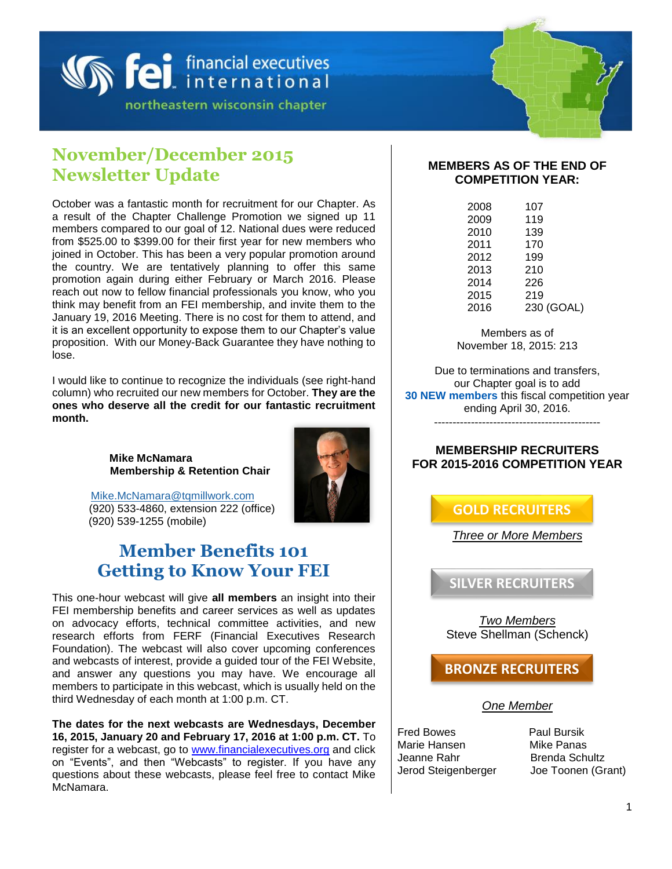

# **November/December 2015 Newsletter Update**

October was a fantastic month for recruitment for our Chapter. As a result of the Chapter Challenge Promotion we signed up 11 members compared to our goal of 12. National dues were reduced from \$525.00 to \$399.00 for their first year for new members who joined in October. This has been a very popular promotion around the country. We are tentatively planning to offer this same promotion again during either February or March 2016. Please reach out now to fellow financial professionals you know, who you think may benefit from an FEI membership, and invite them to the January 19, 2016 Meeting. There is no cost for them to attend, and it is an excellent opportunity to expose them to our Chapter's value proposition. With our Money-Back Guarantee they have nothing to lose.

I would like to continue to recognize the individuals (see right-hand column) who recruited our new members for October. **They are the ones who deserve all the credit for our fantastic recruitment month.**

> **Mike McNamara Membership & Retention Chair**



### [Mike.McNamara@tqmillwork.com](mailto:Mike.McNamara@tqmillwork.com) (920) 533-4860, extension 222 (office) (920) 539-1255 (mobile)

# **Member Benefits 101 Getting to Know Your FEI**

This one-hour webcast will give **all members** an insight into their FEI membership benefits and career services as well as updates on advocacy efforts, technical committee activities, and new research efforts from FERF (Financial Executives Research Foundation). The webcast will also cover upcoming conferences and webcasts of interest, provide a guided tour of the FEI Website, and answer any questions you may have. We encourage all members to participate in this webcast, which is usually held on the third Wednesday of each month at 1:00 p.m. CT.

**The dates for the next webcasts are Wednesdays, December 16, 2015, January 20 and February 17, 2016 at 1:00 p.m. CT.** To register for a webcast, go to [www.financialexecutives.org](http://www.financialexecutives.org/) and click on "Events", and then "Webcasts" to register. If you have any questions about these webcasts, please feel free to contact Mike McNamara.

### **MEMBERS AS OF THE END OF COMPETITION YEAR:**

| 2008 | 107        |
|------|------------|
| 2009 | 119        |
| 2010 | 139        |
| 2011 | 170        |
| 2012 | 199        |
| 2013 | 210        |
| 2014 | 226        |
| 2015 | 219        |
| 2016 | 230 (GOAL) |
|      |            |

Members as of November 18, 2015: 213

Due to terminations and transfers, our Chapter goal is to add **30 NEW members** this fiscal competition year ending April 30, 2016. ---------------------------------------------

### **MEMBERSHIP RECRUITERS FOR 2015-2016 COMPETITION YEAR**

**GOLD RECRUITERS**

*Three or More Members*

**SILVER RECRUITERS**

*Two Members* Steve Shellman (Schenck)

**BRONZE RECRUITERS**

### *One Member*

Fred Bowes **Paul Bursik** Marie Hansen Mike Panas Jeanne Rahr Brenda Schultz Jerod Steigenberger Joe Toonen (Grant)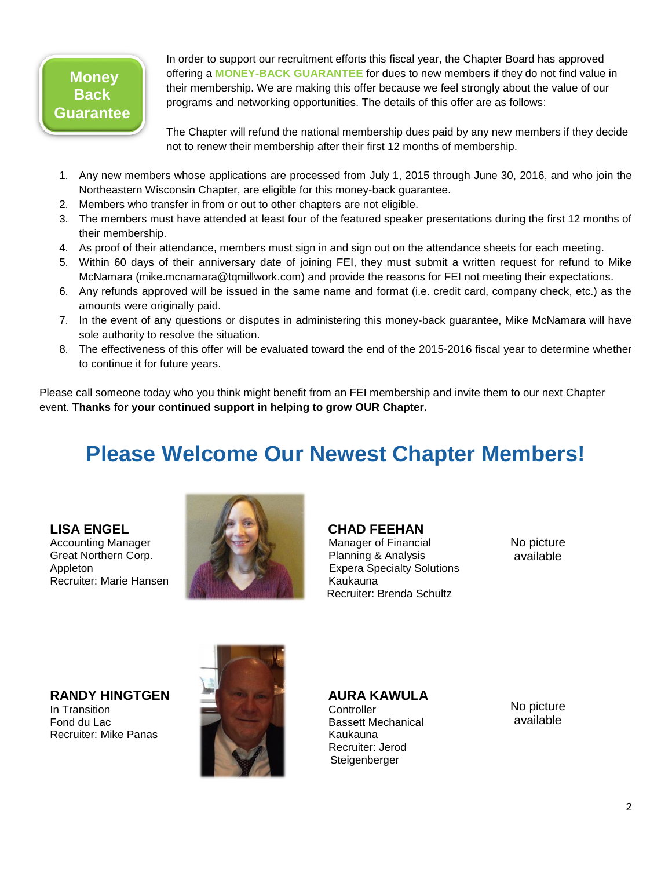# **Money Back Guarantee**

In order to support our recruitment efforts this fiscal year, the Chapter Board has approved offering a **MONEY-BACK GUARANTEE** for dues to new members if they do not find value in their membership. We are making this offer because we feel strongly about the value of our programs and networking opportunities. The details of this offer are as follows:

The Chapter will refund the national membership dues paid by any new members if they decide not to renew their membership after their first 12 months of membership.

- 1. Any new members whose applications are processed from July 1, 2015 through June 30, 2016, and who join the Northeastern Wisconsin Chapter, are eligible for this money-back guarantee.
- 2. Members who transfer in from or out to other chapters are not eligible.
- 3. The members must have attended at least four of the featured speaker presentations during the first 12 months of their membership.
- 4. As proof of their attendance, members must sign in and sign out on the attendance sheets for each meeting.
- 5. Within 60 days of their anniversary date of joining FEI, they must submit a written request for refund to Mike McNamara (mike.mcnamara@tqmillwork.com) and provide the reasons for FEI not meeting their expectations.
- 6. Any refunds approved will be issued in the same name and format (i.e. credit card, company check, etc.) as the amounts were originally paid.
- 7. In the event of any questions or disputes in administering this money-back guarantee, Mike McNamara will have sole authority to resolve the situation.
- 8. The effectiveness of this offer will be evaluated toward the end of the 2015-2016 fiscal year to determine whether to continue it for future years.

Please call someone today who you think might benefit from an FEI membership and invite them to our next Chapter event. **Thanks for your continued support in helping to grow OUR Chapter.**

# **Please Welcome Our Newest Chapter Members!**

**LISA ENGEL** Accounting Manager Great Northern Corp. Appleton Recruiter: Marie Hansen



 **CHAD FEEHAN**  Manager of Financial

 Planning & Analysis Expera Specialty Solutions Kaukauna Recruiter: Brenda Schultz

No picture available

**RANDY HINGTGEN** In Transition Fond du Lac Recruiter: Mike Panas



 **AURA KAWULA** 

**Controller**  Bassett Mechanical Kaukauna Recruiter: Jerod Steigenberger

No picture available